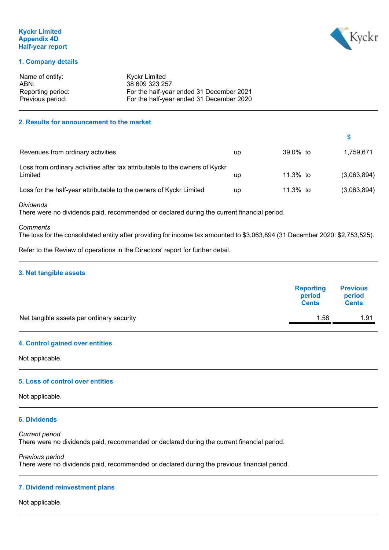## **Kyckr Limited Appendix 4D Half-year report**



**\$**

## **1. Company details**

| Name of entity:   | Kyckr Limited                            |
|-------------------|------------------------------------------|
| ABN:              | 38 609 323 257                           |
| Reporting period: | For the half-year ended 31 December 2021 |
| Previous period:  | For the half-year ended 31 December 2020 |

## **2. Results for announcement to the market**

| Revenues from ordinary activities                                                      | up | 39.0% to | 1,759,671   |
|----------------------------------------------------------------------------------------|----|----------|-------------|
| Loss from ordinary activities after tax attributable to the owners of Kyckr<br>Limited | up | 11.3% to | (3,063,894) |
| Loss for the half-year attributable to the owners of Kyckr Limited                     | up | 11.3% to | (3,063,894) |

*Dividends*

There were no dividends paid, recommended or declared during the current financial period.

## *Comments*

The loss for the consolidated entity after providing for income tax amounted to \$3,063,894 (31 December 2020: \$2,753,525).

Refer to the Review of operations in the Directors' report for further detail.

#### **3. Net tangible assets**

|                                           | <b>Reporting</b><br>period<br><b>Cents</b> | <b>Previous</b><br>period<br><b>Cents</b> |
|-------------------------------------------|--------------------------------------------|-------------------------------------------|
| Net tangible assets per ordinary security | 1.58                                       | 1.91                                      |
|                                           |                                            |                                           |

## **4. Control gained over entities**

Not applicable.

## **5. Loss of control over entities**

Not applicable.

## **6. Dividends**

*Current period* There were no dividends paid, recommended or declared during the current financial period.

*Previous period* There were no dividends paid, recommended or declared during the previous financial period.

## **7. Dividend reinvestment plans**

Not applicable.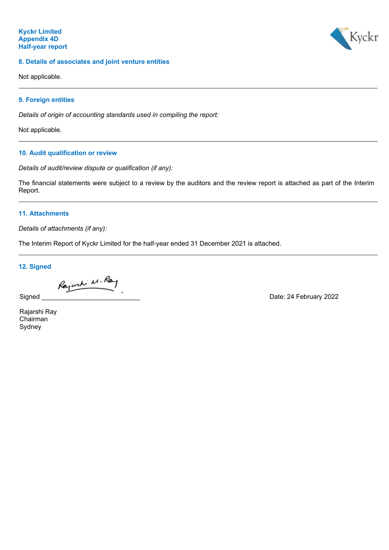## **8. Details of associates and joint venture entities**

Kyckr

Not applicable.

## **9. Foreign entities**

*Details of origin of accounting standards used in compiling the report:*

Not applicable.

## **10. Audit qualification or review**

*Details of audit/review dispute or qualification (if any):*

The financial statements were subject to a review by the auditors and the review report is attached as part of the Interim Report.

## **11. Attachments**

*Details of attachments (if any):*

The Interim Report of Kyckr Limited for the half-year ended 31 December 2021 is attached.

**12. Signed**

Rajork M. Ray

Signed **Signed Signed Signed Signed CONSUMPLER Signed CONSUMPLER CONSUMPLER CONSUMPLER CONSUMPLER** 

Rajarshi Ray Chairman Sydney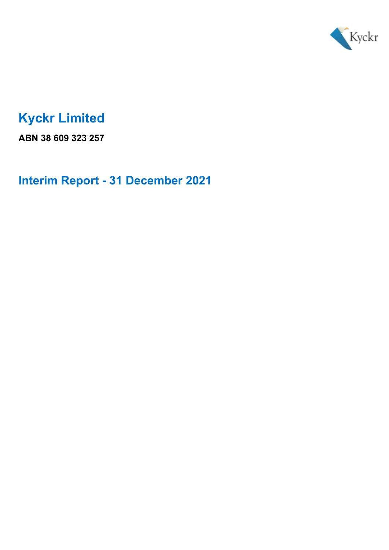

# **Kyckr Limited**

**ABN 38 609 323 257**

**Interim Report - 31 December 2021**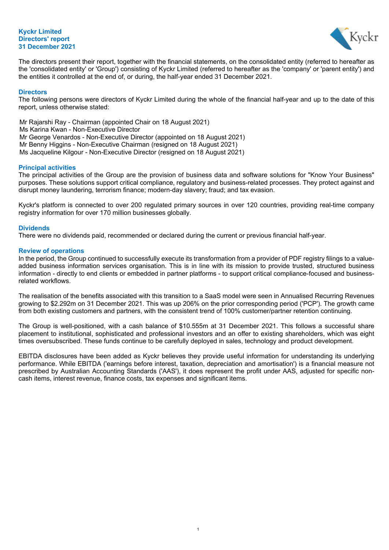## **Kyckr Limited Directors' report 31 December 2021**



The directors present their report, together with the financial statements, on the consolidated entity (referred to hereafter as the 'consolidated entity' or 'Group') consisting of Kyckr Limited (referred to hereafter as the 'company' or 'parent entity') and the entities it controlled at the end of, or during, the half-year ended 31 December 2021.

#### **Directors**

The following persons were directors of Kyckr Limited during the whole of the financial half-year and up to the date of this report, unless otherwise stated:

Mr Rajarshi Ray - Chairman (appointed Chair on 18 August 2021) Ms Karina Kwan - Non-Executive Director Mr George Venardos - Non-Executive Director (appointed on 18 August 2021) Mr Benny Higgins - Non-Executive Chairman (resigned on 18 August 2021) Ms Jacqueline Kilgour - Non-Executive Director (resigned on 18 August 2021)

## **Principal activities**

The principal activities of the Group are the provision of business data and software solutions for "Know Your Business" purposes. These solutions support critical compliance, regulatory and business-related processes. They protect against and disrupt money laundering, terrorism finance; modern-day slavery; fraud; and tax evasion.

Kyckr's platform is connected to over 200 regulated primary sources in over 120 countries, providing real-time company registry information for over 170 million businesses globally.

#### **Dividends**

There were no dividends paid, recommended or declared during the current or previous financial half-year.

#### **Review of operations**

In the period, the Group continued to successfully execute its transformation from a provider of PDF registry filings to a valueadded business information services organisation. This is in line with its mission to provide trusted, structured business information - directly to end clients or embedded in partner platforms - to support critical compliance-focused and businessrelated workflows.

The realisation of the benefits associated with this transition to a SaaS model were seen in Annualised Recurring Revenues growing to \$2.292m on 31 December 2021. This was up 206% on the prior corresponding period ('PCP'). The growth came from both existing customers and partners, with the consistent trend of 100% customer/partner retention continuing.

The Group is well-positioned, with a cash balance of \$10.555m at 31 December 2021. This follows a successful share placement to institutional, sophisticated and professional investors and an offer to existing shareholders, which was eight times oversubscribed. These funds continue to be carefully deployed in sales, technology and product development.

EBITDA disclosures have been added as Kyckr believes they provide useful information for understanding its underlying performance. While EBITDA ('earnings before interest, taxation, depreciation and amortisation') is a financial measure not prescribed by Australian Accounting Standards ('AAS'), it does represent the profit under AAS, adjusted for specific noncash items, interest revenue, finance costs, tax expenses and significant items.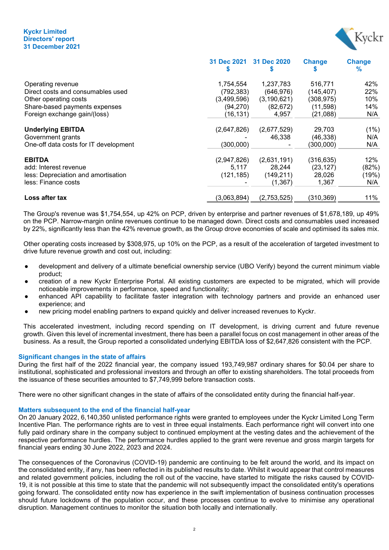### Kyckr Limited Directors' report 31 December 2021



|                                       | 31 Dec 2021 | 31 Dec 2020   | <b>Change</b> | <b>Change</b><br>℅ |
|---------------------------------------|-------------|---------------|---------------|--------------------|
| Operating revenue                     | 1,754,554   | 1,237,783     | 516,771       | 42%                |
| Direct costs and consumables used     | (792,383)   | (646, 976)    | (145, 407)    | 22%                |
| Other operating costs                 | (3,499,596) | (3, 190, 621) | (308,975)     | 10%                |
| Share-based payments expenses         | (94,270)    | (82, 672)     | (11, 598)     | 14%                |
| Foreign exchange gain/(loss)          | (16, 131)   | 4,957         | (21,088)      | N/A                |
| <b>Underlying EBITDA</b>              | (2,647,826) | (2,677,529)   | 29,703        | (1%)               |
| Government grants                     |             | 46.338        | (46, 338)     | N/A                |
| One-off data costs for IT development | (300, 000)  |               | (300,000)     | N/A                |
| <b>EBITDA</b>                         | (2,947,826) | (2,631,191)   | (316, 635)    | 12%                |
| add: Interest revenue                 | 5,117       | 28.244        | (23, 127)     | (82%)              |
| less: Depreciation and amortisation   | (121, 185)  | (149, 211)    | 28,026        | (19%)              |
| less: Finance costs                   |             | (1, 367)      | 1,367         | N/A                |
| Loss after tax                        | (3,063,894) | (2,753,525)   | (310, 369)    | 11%                |

The Group's revenue was \$1,754,554, up 42% on PCP, driven by enterprise and partner revenues of \$1,678,189, up 49% on the PCP. Narrow-margin online revenues continue to be managed down. Direct costs and consumables used increased by 22%, significantly less than the 42% revenue growth, as the Group drove economies of scale and optimised its sales mix.

Other operating costs increased by \$308,975, up 10% on the PCP, as a result of the acceleration of targeted investment to drive future revenue growth and cost out, including:

- development and delivery of a ultimate beneficial ownership service (UBO Verify) beyond the current minimum viable product;
- creation of a new Kyckr Enterprise Portal. All existing customers are expected to be migrated, which will provide noticeable improvements in performance, speed and functionality;
- enhanced API capability to facilitate faster integration with technology partners and provide an enhanced user experience; and
- new pricing model enabling partners to expand quickly and deliver increased revenues to Kyckr.

This accelerated investment, including record spending on IT development, is driving current and future revenue growth. Given this level of incremental investment, there has been a parallel focus on cost management in other areas of the business. As a result, the Group reported a consolidated underlying EBITDA loss of \$2,647,826 consistent with the PCP.

## Significant changes in the state of affairs

During the first half of the 2022 financial year, the company issued 193,749,987 ordinary shares for \$0.04 per share to institutional, sophisticated and professional investors and through an offer to existing shareholders. The total proceeds from the issuance of these securities amounted to \$7,749,999 before transaction costs.

There were no other significant changes in the state of affairs of the consolidated entity during the financial half-year.

#### Matters subsequent to the end of the financial half-year

On 20 January 2022, 6,140,350 unlisted performance rights were granted to employees under the Kyckr Limited Long Term Incentive Plan. The performance rights are to vest in three equal instalments. Each performance right will convert into one fully paid ordinary share in the company subject to continued employment at the vesting dates and the achievement of the respective performance hurdles. The performance hurdles applied to the grant were revenue and gross margin targets for financial years ending 30 June 2022, 2023 and 2024.

The consequences of the Coronavirus (COVID-19) pandemic are continuing to be felt around the world, and its impact on the consolidated entity, if any, has been reflected in its published results to date. Whilst it would appear that control measures and related government policies, including the roll out of the vaccine, have started to mitigate the risks caused by COVID-19, it is not possible at this time to state that the pandemic will not subsequently impact the consolidated entity's operations going forward. The consolidated entity now has experience in the swift implementation of business continuation processes should future lockdowns of the population occur, and these processes continue to evolve to minimise any operational disruption. Management continues to monitor the situation both locally and internationally.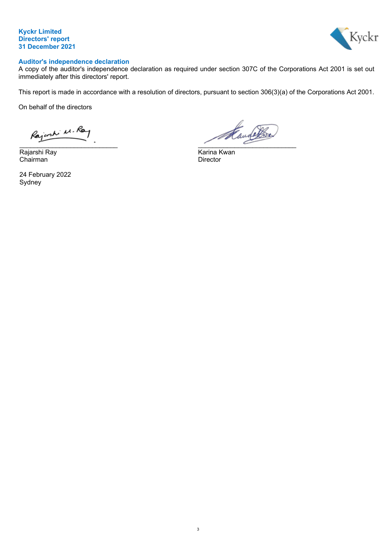



# **Auditor's independence declaration**

A copy of the auditor's independence declaration as required under section 307C of the Corporations Act 2001 is set out immediately after this directors' report.

This report is made in accordance with a resolution of directors, pursuant to section 306(3)(a) of the Corporations Act 2001.

On behalf of the directors

Rajarshi Ray Karina Kwan Chairman Director

24 February 2022 Sydney

Kandelba  $\overline{\phantom{a}}$  ,  $\overline{\phantom{a}}$  ,  $\overline{\phantom{a}}$  ,  $\overline{\phantom{a}}$  ,  $\overline{\phantom{a}}$  ,  $\overline{\phantom{a}}$  ,  $\overline{\phantom{a}}$  ,  $\overline{\phantom{a}}$  ,  $\overline{\phantom{a}}$  ,  $\overline{\phantom{a}}$  ,  $\overline{\phantom{a}}$  ,  $\overline{\phantom{a}}$  ,  $\overline{\phantom{a}}$  ,  $\overline{\phantom{a}}$  ,  $\overline{\phantom{a}}$  ,  $\overline{\phantom{a}}$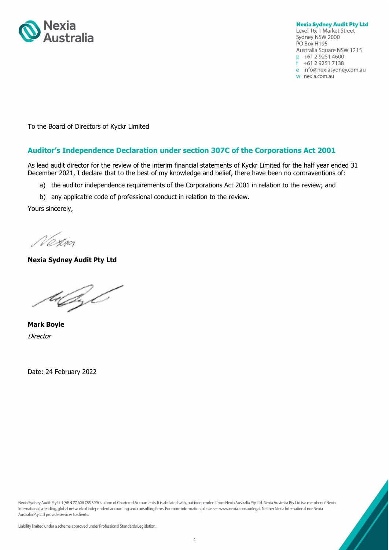

**Nexia Sydney Audit Pty Ltd** Level 16, 1 Market Street Sydney NSW 2000 PO Box H195 Australia Square NSW 1215 p +61 2 9251 4600  $f +61292517138$ e info@nexiasydney.com.au w nexia.com.au

To the Board of Directors of Kyckr Limited

# **Auditor's Independence Declaration under section 307C of the Corporations Act 2001**

As lead audit director for the review of the interim financial statements of Kyckr Limited for the half year ended 31 December 2021, I declare that to the best of my knowledge and belief, there have been no contraventions of:

- a) the auditor independence requirements of the Corporations Act 2001 in relation to the review; and
- b) any applicable code of professional conduct in relation to the review.

Yours sincerely,

Nezio

**Nexia Sydney Audit Pty Ltd**

tsGL

**Mark Boyle Director** 

Date: 24 February 2022

Nexia Sydney Audit Pty Ltd (ABN 77 606 785 399) is a firm of Chartered Accountants. It is affiliated with, but independent from Nexia Australia Pty Ltd. Nexia Australia Pty Ltd is a member of Nexia International, a leading, global network of independent accounting and consulting firms. For more information please see www.nexia.com.au/legal. Neither Nexia International nor Nexia Australia Pty Ltd provide services to clients.

Liability limited under a scheme approved under Professional Standards Legislation.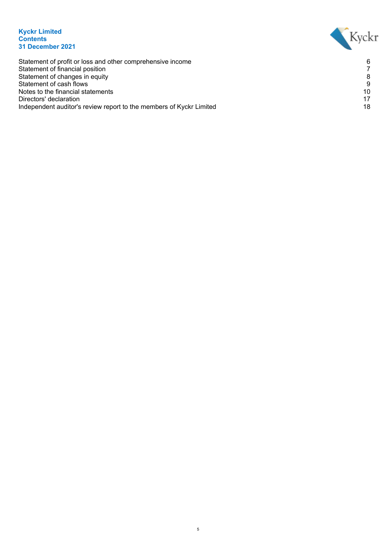## **Kyckr Limited Contents 31 December 2021**



Statement of profit or loss and other comprehensive income 6 Statement of financial position 7 Statement of changes in equity 8 Statement of cash flows 9 Notes to the financial statements 10<br>Directors' declaration 17 Directors' declaration 17<br>Independent auditor's review report to the members of Kvckr Limited 19 Independent auditor's review report to the members of Kyckr Limited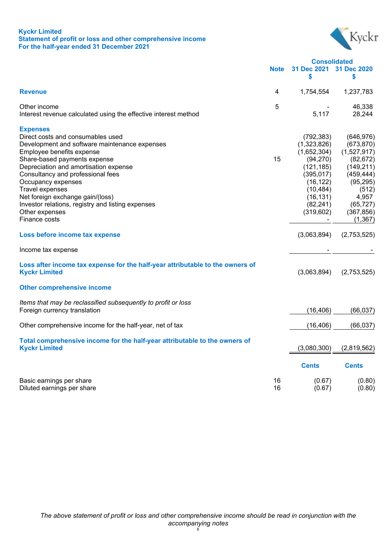## **Kyckr Limited Statement of profit or loss and other comprehensive income For the half-year ended 31 December 2021**



|                                                                                                                                                                                                                                                                                                                                                                                                                       |             | <b>Consolidated</b>                                                                                                                                |                                                                                                                                                        |
|-----------------------------------------------------------------------------------------------------------------------------------------------------------------------------------------------------------------------------------------------------------------------------------------------------------------------------------------------------------------------------------------------------------------------|-------------|----------------------------------------------------------------------------------------------------------------------------------------------------|--------------------------------------------------------------------------------------------------------------------------------------------------------|
|                                                                                                                                                                                                                                                                                                                                                                                                                       | <b>Note</b> | 31 Dec 2021<br>\$                                                                                                                                  | 31 Dec 2020<br>\$                                                                                                                                      |
| <b>Revenue</b>                                                                                                                                                                                                                                                                                                                                                                                                        | 4           | 1,754,554                                                                                                                                          | 1,237,783                                                                                                                                              |
| Other income<br>Interest revenue calculated using the effective interest method                                                                                                                                                                                                                                                                                                                                       | 5           | 5,117                                                                                                                                              | 46,338<br>28,244                                                                                                                                       |
| <b>Expenses</b><br>Direct costs and consumables used<br>Development and software maintenance expenses<br>Employee benefits expense<br>Share-based payments expense<br>Depreciation and amortisation expense<br>Consultancy and professional fees<br>Occupancy expenses<br>Travel expenses<br>Net foreign exchange gain/(loss)<br>Investor relations, registry and listing expenses<br>Other expenses<br>Finance costs | 15          | (792, 383)<br>(1,323,826)<br>(1,652,304)<br>(94, 270)<br>(121, 185)<br>(395, 017)<br>(16, 122)<br>(10, 484)<br>(16, 131)<br>(82, 241)<br>(319,602) | (646, 976)<br>(673, 870)<br>(1,527,917)<br>(82, 672)<br>(149, 211)<br>(459, 444)<br>(95, 295)<br>(512)<br>4,957<br>(65, 727)<br>(367, 856)<br>(1, 367) |
| Loss before income tax expense                                                                                                                                                                                                                                                                                                                                                                                        |             | (3,063,894)                                                                                                                                        | (2,753,525)                                                                                                                                            |
| Income tax expense                                                                                                                                                                                                                                                                                                                                                                                                    |             |                                                                                                                                                    |                                                                                                                                                        |
| Loss after income tax expense for the half-year attributable to the owners of<br><b>Kyckr Limited</b>                                                                                                                                                                                                                                                                                                                 |             | (3,063,894)                                                                                                                                        | (2,753,525)                                                                                                                                            |
| <b>Other comprehensive income</b>                                                                                                                                                                                                                                                                                                                                                                                     |             |                                                                                                                                                    |                                                                                                                                                        |
| Items that may be reclassified subsequently to profit or loss<br>Foreign currency translation                                                                                                                                                                                                                                                                                                                         |             | (16, 406)                                                                                                                                          | (66, 037)                                                                                                                                              |
| Other comprehensive income for the half-year, net of tax                                                                                                                                                                                                                                                                                                                                                              |             | (16, 406)                                                                                                                                          | (66, 037)                                                                                                                                              |
| Total comprehensive income for the half-year attributable to the owners of<br><b>Kyckr Limited</b>                                                                                                                                                                                                                                                                                                                    |             | (3,080,300)                                                                                                                                        | (2,819,562)                                                                                                                                            |
|                                                                                                                                                                                                                                                                                                                                                                                                                       |             | <b>Cents</b>                                                                                                                                       | <b>Cents</b>                                                                                                                                           |
| Basic earnings per share<br>Diluted earnings per share                                                                                                                                                                                                                                                                                                                                                                | 16<br>16    | (0.67)<br>(0.67)                                                                                                                                   | (0.80)<br>(0.80)                                                                                                                                       |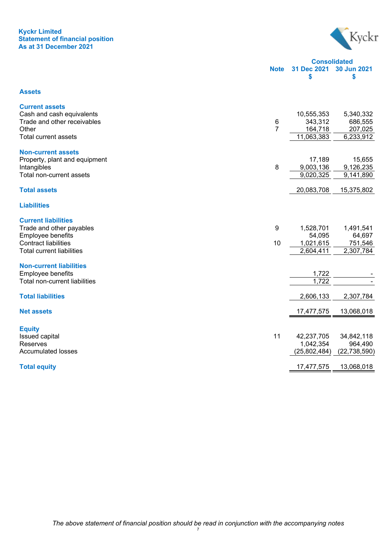## **Kyckr Limited Statement of financial position As at 31 December 2021**



|                              | <b>Consolidated</b> |
|------------------------------|---------------------|
| Note 31 Dec 2021 30 Jun 2021 |                     |
|                              |                     |

#### **Assets**

| <b>Current assets</b>            |    |              |                |
|----------------------------------|----|--------------|----------------|
| Cash and cash equivalents        |    | 10,555,353   | 5,340,332      |
| Trade and other receivables      | 6  | 343,312      | 686,555        |
| Other                            | 7  | 164,718      | 207,025        |
| Total current assets             |    | 11,063,383   | 6,233,912      |
|                                  |    |              |                |
| <b>Non-current assets</b>        |    |              |                |
| Property, plant and equipment    |    | 17,189       | 15,655         |
| Intangibles                      | 8  | 9,003,136    | 9,126,235      |
| Total non-current assets         |    | 9,020,325    | 9,141,890      |
| <b>Total assets</b>              |    | 20,083,708   | 15,375,802     |
|                                  |    |              |                |
| <b>Liabilities</b>               |    |              |                |
| <b>Current liabilities</b>       |    |              |                |
| Trade and other payables         | 9  | 1,528,701    | 1,491,541      |
| Employee benefits                |    | 54,095       | 64,697         |
| <b>Contract liabilities</b>      | 10 | 1,021,615    | 751,546        |
| <b>Total current liabilities</b> |    | 2,604,411    | 2,307,784      |
|                                  |    |              |                |
| <b>Non-current liabilities</b>   |    |              |                |
| Employee benefits                |    | 1,722        |                |
| Total non-current liabilities    |    | 1,722        |                |
|                                  |    |              |                |
| <b>Total liabilities</b>         |    | 2,606,133    | 2,307,784      |
| <b>Net assets</b>                |    | 17,477,575   | 13,068,018     |
|                                  |    |              |                |
| <b>Equity</b>                    |    |              |                |
| <b>Issued capital</b>            | 11 | 42,237,705   | 34,842,118     |
| Reserves                         |    | 1,042,354    | 964,490        |
| <b>Accumulated losses</b>        |    | (25,802,484) | (22, 738, 590) |
|                                  |    |              |                |
| <b>Total equity</b>              |    | 17,477,575   | 13,068,018     |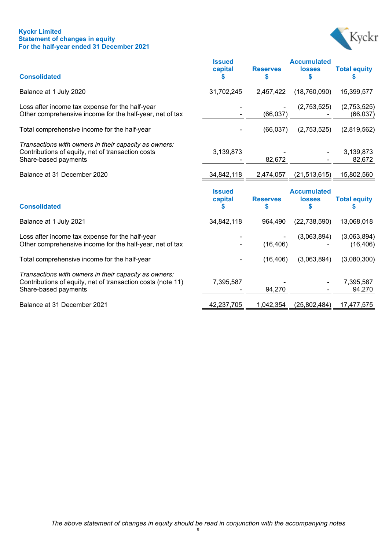## **Kyckr Limited Statement of changes in equity For the half-year ended 31 December 2021**



|                                                                                                                                    | <b>Issued</b><br>capital | <b>Reserves</b>      | <b>Accumulated</b><br><b>losses</b>      | <b>Total equity</b>      |
|------------------------------------------------------------------------------------------------------------------------------------|--------------------------|----------------------|------------------------------------------|--------------------------|
| <b>Consolidated</b>                                                                                                                |                          | S                    |                                          |                          |
| Balance at 1 July 2020                                                                                                             | 31,702,245               | 2,457,422            | (18,760,090)                             | 15,399,577               |
| Loss after income tax expense for the half-year<br>Other comprehensive income for the half-year, net of tax                        |                          | (66, 037)            | (2,753,525)                              | (2,753,525)<br>(66, 037) |
| Total comprehensive income for the half-year                                                                                       |                          | (66, 037)            | (2,753,525)                              | (2,819,562)              |
| Transactions with owners in their capacity as owners:<br>Contributions of equity, net of transaction costs<br>Share-based payments | 3,139,873                | 82,672               |                                          | 3,139,873<br>82,672      |
| Balance at 31 December 2020                                                                                                        | 34,842,118               | 2,474,057            | (21, 513, 615)                           | 15,802,560               |
| <b>Consolidated</b>                                                                                                                | <b>Issued</b><br>capital | <b>Reserves</b><br>S | <b>Accumulated</b><br><b>losses</b><br>S | <b>Total equity</b>      |
| Balance at 1 July 2021                                                                                                             | 34,842,118               | 964,490              | (22, 738, 590)                           | 13,068,018               |
| Loss after income tax expense for the half-year<br>Other comprehensive income for the half-year, net of tax                        |                          | (16, 406)            | (3,063,894)                              | (3,063,894)<br>(16, 406) |
| Total comprehensive income for the half-year                                                                                       |                          | (16, 406)            | (3,063,894)                              | (3,080,300)              |
| Transactions with owners in their capacity as owners:                                                                              |                          |                      |                                          |                          |
| Contributions of equity, net of transaction costs (note 11)<br>Share-based payments                                                | 7,395,587                | 94,270               |                                          | 7,395,587<br>94,270      |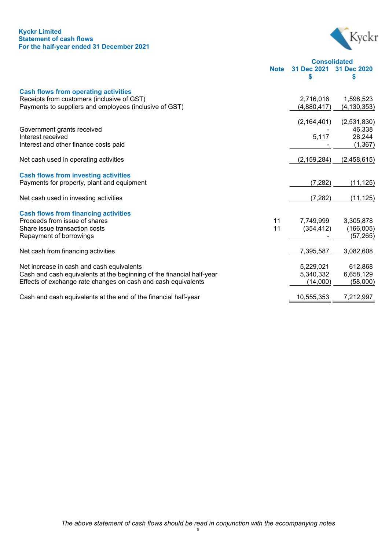## **Kyckr Limited Statement of cash flows For the half-year ended 31 December 2021**



**Consolidated Note 31 Dec 2021 31 Dec 2020 \$ \$**

| <b>Cash flows from operating activities</b><br>Receipts from customers (inclusive of GST) | 2,716,016     | 1,598,523     |
|-------------------------------------------------------------------------------------------|---------------|---------------|
| Payments to suppliers and employees (inclusive of GST)                                    | (4,880,417)   | (4, 130, 353) |
|                                                                                           | (2, 164, 401) | (2,531,830)   |
| Government grants received                                                                |               | 46,338        |
| Interest received                                                                         | 5,117         | 28,244        |
| Interest and other finance costs paid                                                     |               | (1, 367)      |
| Net cash used in operating activities                                                     | (2, 159, 284) | (2,458,615)   |
| <b>Cash flows from investing activities</b>                                               |               |               |
| Payments for property, plant and equipment                                                | (7, 282)      | (11, 125)     |
| Net cash used in investing activities                                                     | (7, 282)      | (11, 125)     |
| <b>Cash flows from financing activities</b>                                               |               |               |
| Proceeds from issue of shares<br>11                                                       | 7,749,999     | 3,305,878     |
| 11<br>Share issue transaction costs                                                       | (354, 412)    | (166,005)     |
| Repayment of borrowings                                                                   |               | (57, 265)     |
| Net cash from financing activities                                                        | 7,395,587     | 3,082,608     |
| Net increase in cash and cash equivalents                                                 | 5,229,021     | 612,868       |
| Cash and cash equivalents at the beginning of the financial half-year                     | 5,340,332     | 6,658,129     |
| Effects of exchange rate changes on cash and cash equivalents                             | (14,000)      | (58,000)      |
| Cash and cash equivalents at the end of the financial half-year                           | 10,555,353    | 7,212,997     |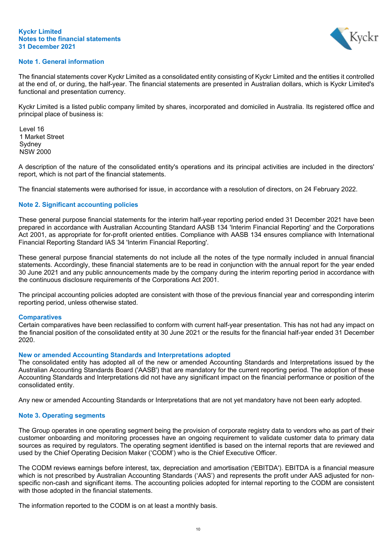#### **Kyckr Limited Notes to the financial statements 31 December 2021**



## **Note 1. General information**

The financial statements cover Kyckr Limited as a consolidated entity consisting of Kyckr Limited and the entities it controlled at the end of, or during, the half-year. The financial statements are presented in Australian dollars, which is Kyckr Limited's functional and presentation currency.

Kyckr Limited is a listed public company limited by shares, incorporated and domiciled in Australia. Its registered office and principal place of business is:

Level 16 1 Market Street **Sydney** NSW 2000

A description of the nature of the consolidated entity's operations and its principal activities are included in the directors' report, which is not part of the financial statements.

The financial statements were authorised for issue, in accordance with a resolution of directors, on 24 February 2022.

## **Note 2. Significant accounting policies**

These general purpose financial statements for the interim half-year reporting period ended 31 December 2021 have been prepared in accordance with Australian Accounting Standard AASB 134 'Interim Financial Reporting' and the Corporations Act 2001, as appropriate for for-profit oriented entities. Compliance with AASB 134 ensures compliance with International Financial Reporting Standard IAS 34 'Interim Financial Reporting'.

These general purpose financial statements do not include all the notes of the type normally included in annual financial statements. Accordingly, these financial statements are to be read in conjunction with the annual report for the year ended 30 June 2021 and any public announcements made by the company during the interim reporting period in accordance with the continuous disclosure requirements of the Corporations Act 2001.

The principal accounting policies adopted are consistent with those of the previous financial year and corresponding interim reporting period, unless otherwise stated.

## **Comparatives**

Certain comparatives have been reclassified to conform with current half-year presentation. This has not had any impact on the financial position of the consolidated entity at 30 June 2021 or the results for the financial half-year ended 31 December 2020.

## **New or amended Accounting Standards and Interpretations adopted**

The consolidated entity has adopted all of the new or amended Accounting Standards and Interpretations issued by the Australian Accounting Standards Board ('AASB') that are mandatory for the current reporting period. The adoption of these Accounting Standards and Interpretations did not have any significant impact on the financial performance or position of the consolidated entity.

Any new or amended Accounting Standards or Interpretations that are not yet mandatory have not been early adopted.

## **Note 3. Operating segments**

The Group operates in one operating segment being the provision of corporate registry data to vendors who as part of their customer onboarding and monitoring processes have an ongoing requirement to validate customer data to primary data sources as required by regulators. The operating segment identified is based on the internal reports that are reviewed and used by the Chief Operating Decision Maker ('CODM') who is the Chief Executive Officer.

The CODM reviews earnings before interest, tax, depreciation and amortisation ('EBITDA'). EBITDA is a financial measure which is not prescribed by Australian Accounting Standards ('AAS') and represents the profit under AAS adjusted for nonspecific non-cash and significant items. The accounting policies adopted for internal reporting to the CODM are consistent with those adopted in the financial statements.

The information reported to the CODM is on at least a monthly basis.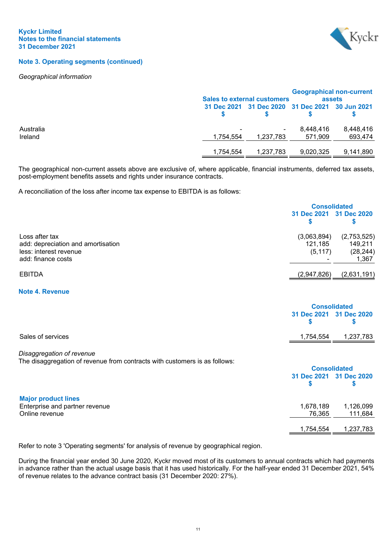

## **Note 3. Operating segments (continued)**

#### *Geographical information*

|                      |           | <b>Sales to external customers</b>              |                      | <b>Geographical non-current</b><br>assets |
|----------------------|-----------|-------------------------------------------------|----------------------|-------------------------------------------|
|                      |           | 31 Dec 2021 31 Dec 2020 31 Dec 2021 30 Jun 2021 |                      |                                           |
| Australia<br>Ireland | 1.754.554 | 1.237.783                                       | 8,448,416<br>571.909 | 8,448,416<br>693,474                      |
|                      | 1.754.554 | 1,237,783                                       | 9,020,325            | 9,141,890                                 |

The geographical non-current assets above are exclusive of, where applicable, financial instruments, deferred tax assets, post-employment benefits assets and rights under insurance contracts.

A reconciliation of the loss after income tax expense to EBITDA is as follows:

|                                                                                                      |                                    | <b>Consolidated</b>                          |  |
|------------------------------------------------------------------------------------------------------|------------------------------------|----------------------------------------------|--|
|                                                                                                      | 31 Dec 2021 31 Dec 2020            |                                              |  |
| Loss after tax<br>add: depreciation and amortisation<br>less: interest revenue<br>add: finance costs | (3,063,894)<br>121,185<br>(5, 117) | (2,753,525)<br>149,211<br>(28, 244)<br>1,367 |  |
| <b>EBITDA</b>                                                                                        | (2,947,826)                        | (2,631,191)                                  |  |

#### **Note 4. Revenue**

<span id="page-13-0"></span>

|                                                                                                         | <b>Consolidated</b> |                         |
|---------------------------------------------------------------------------------------------------------|---------------------|-------------------------|
|                                                                                                         |                     | 31 Dec 2021 31 Dec 2020 |
| Sales of services                                                                                       | 1,754,554           | 1,237,783               |
| Disaggregation of revenue<br>The disaggregation of revenue from contracts with customers is as follows: |                     |                         |
|                                                                                                         |                     | <b>Consolidated</b>     |
|                                                                                                         |                     | 31 Dec 2021 31 Dec 2020 |
| <b>Major product lines</b>                                                                              |                     |                         |
| Enterprise and partner revenue                                                                          | 1.670.100           | 1.100000                |

Enterprise and partner revenue 1,678,189 1,126,099 Online revenue

1,754,554 1,237,783

Refer to note 3 'Operating segments' for analysis of revenue by geographical region.

During the financial year ended 30 June 2020, Kyckr moved most of its customers to annual contracts which had payments in advance rather than the actual usage basis that it has used historically. For the half-year ended 31 December 2021, 54% of revenue relates to the advance contract basis (31 December 2020: 27%).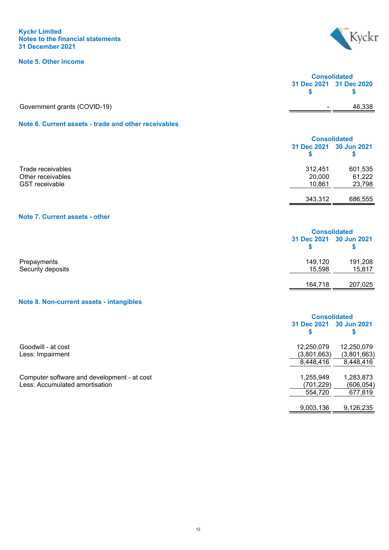## **Kyckr Limited Notes to the financial statements 31 December 2021**

# **Note 5. Other income**



<span id="page-14-0"></span>

|                                                      | <b>Consolidated</b>     |        |
|------------------------------------------------------|-------------------------|--------|
|                                                      | 31 Dec 2021 31 Dec 2020 |        |
| Government grants (COVID-19)                         | $\blacksquare$          | 46,338 |
| Note 6. Current assets - trade and other receivables |                         |        |
|                                                      | Consolidated            |        |

<span id="page-14-1"></span>

|                       |         | <b>UUISURU</b> altu     |  |
|-----------------------|---------|-------------------------|--|
|                       |         | 31 Dec 2021 30 Jun 2021 |  |
|                       |         |                         |  |
| Trade receivables     | 312,451 | 601,535                 |  |
| Other receivables     | 20,000  | 61,222                  |  |
| <b>GST</b> receivable | 10,861  | 23,798                  |  |
|                       | 343,312 | 686,555                 |  |

# <span id="page-14-2"></span>**Note 7. Current assets - other**

|                                  |                         | <b>Consolidated</b> |  |
|----------------------------------|-------------------------|---------------------|--|
|                                  | 31 Dec 2021 30 Jun 2021 |                     |  |
| Prepayments<br>Security deposits | 149,120<br>15,598       | 191,208<br>15,817   |  |
|                                  | 164,718                 | 207,025             |  |

# <span id="page-14-3"></span>**Note 8. Non-current assets - intangibles**

|                                             | <b>Consolidated</b>        |             |
|---------------------------------------------|----------------------------|-------------|
|                                             | 31 Dec 2021<br>30 Jun 2021 |             |
|                                             | \$                         | \$          |
| Goodwill - at cost                          | 12,250,079                 | 12,250,079  |
| Less: Impairment                            | (3,801,663)                | (3,801,663) |
|                                             | 8,448,416                  | 8,448,416   |
| Computer software and development - at cost | 1,255,949                  | 1,283,873   |
| Less: Accumulated amortisation              | (701,229)                  | (606, 054)  |
|                                             | 554,720                    | 677,819     |
|                                             | 9,003,136                  | 9,126,235   |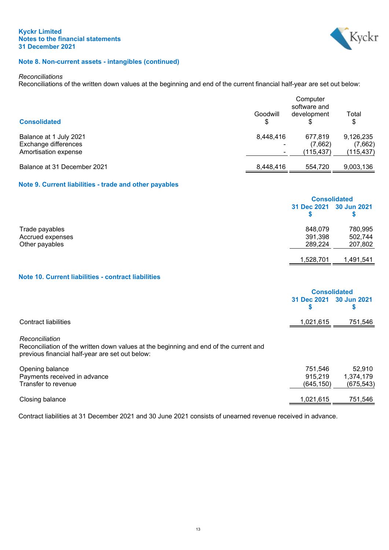

## **Note 8. Non-current assets - intangibles (continued)**

#### *Reconciliations*

Reconciliations of the written down values at the beginning and end of the current financial half-year are set out below:

|                                                                        | Computer<br>software and              |                                 |                                    |  |
|------------------------------------------------------------------------|---------------------------------------|---------------------------------|------------------------------------|--|
| <b>Consolidated</b>                                                    | Goodwill                              | development                     | Total<br>\$                        |  |
| Balance at 1 July 2021<br>Exchange differences<br>Amortisation expense | 8,448,416<br>$\overline{\phantom{0}}$ | 677.819<br>(7,662)<br>(115.437) | 9,126,235<br>(7,662)<br>(115, 437) |  |
| Balance at 31 December 2021                                            | 8,448,416                             | 554,720                         | 9,003,136                          |  |

# **Note 9. Current liabilities - trade and other payables**

<span id="page-15-0"></span>

|                  |                         | <b>Consolidated</b> |  |
|------------------|-------------------------|---------------------|--|
|                  | 31 Dec 2021 30 Jun 2021 |                     |  |
| Trade payables   | 848,079                 | 780,995             |  |
| Accrued expenses | 391,398                 | 502,744             |  |
| Other payables   | 289,224                 | 207,802             |  |
|                  |                         |                     |  |
|                  | 1,528,701               | 1,491,541           |  |

## **Note 10. Current liabilities - contract liabilities**

<span id="page-15-1"></span>

|                                                                                                                                                            | 31 Dec 2021<br>S                 | <b>Consolidated</b><br>30 Jun 2021<br>S |
|------------------------------------------------------------------------------------------------------------------------------------------------------------|----------------------------------|-----------------------------------------|
| Contract liabilities                                                                                                                                       | 1,021,615                        | 751,546                                 |
| Reconciliation<br>Reconciliation of the written down values at the beginning and end of the current and<br>previous financial half-year are set out below: |                                  |                                         |
| Opening balance<br>Payments received in advance<br>Transfer to revenue                                                                                     | 751,546<br>915,219<br>(645, 150) | 52.910<br>1,374,179<br>(675, 543)       |
| Closing balance                                                                                                                                            | 1,021,615                        | 751,546                                 |

Contract liabilities at 31 December 2021 and 30 June 2021 consists of unearned revenue received in advance.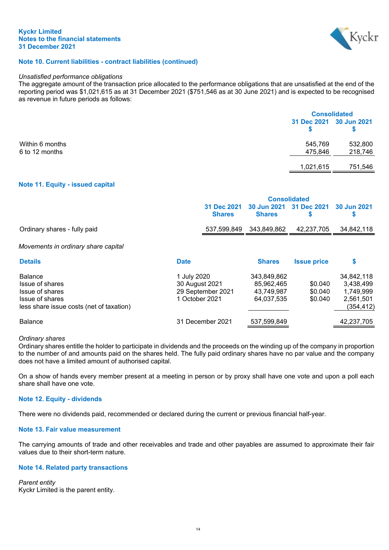

## **Note 10. Current liabilities - contract liabilities (continued)**

#### *Unsatisfied performance obligations*

The aggregate amount of the transaction price allocated to the performance obligations that are unsatisfied at the end of the reporting period was \$1,021,615 as at 31 December 2021 (\$751,546 as at 30 June 2021) and is expected to be recognised as revenue in future periods as follows:

|                 |                         | <b>Consolidated</b> |  |
|-----------------|-------------------------|---------------------|--|
|                 | 31 Dec 2021 30 Jun 2021 |                     |  |
| Within 6 months | 545,769                 | 532,800             |  |
| 6 to 12 months  | 475,846                 | 218,746             |  |
|                 | 1,021,615               | 751,546             |  |

## **Note 11. Equity - issued capital**

<span id="page-16-0"></span>

|                              | <b>Consolidated</b> |               |                                                  |  |
|------------------------------|---------------------|---------------|--------------------------------------------------|--|
|                              | <b>Shares</b>       | <b>Shares</b> | 31 Dec 2021 30 Jun 2021 31 Dec 2021 30 Jun 2021  |  |
| Ordinary shares - fully paid |                     |               | 537,599,849  343,849,862  42,237,705  34,842,118 |  |
|                              |                     |               |                                                  |  |

#### *Movements in ordinary share capital*

| <b>Details</b>                                                                                                      | <b>Date</b>                                                          | <b>Shares</b>                                         | <b>Issue price</b>            | S                                                               |
|---------------------------------------------------------------------------------------------------------------------|----------------------------------------------------------------------|-------------------------------------------------------|-------------------------------|-----------------------------------------------------------------|
| <b>Balance</b><br>Issue of shares<br>Issue of shares<br>Issue of shares<br>less share issue costs (net of taxation) | 1 July 2020<br>30 August 2021<br>29 September 2021<br>1 October 2021 | 343,849,862<br>85,962,465<br>43,749,987<br>64,037,535 | \$0.040<br>\$0.040<br>\$0.040 | 34,842,118<br>3,438,499<br>1,749,999<br>2,561,501<br>(354, 412) |
| <b>Balance</b>                                                                                                      | 31 December 2021                                                     | 537,599,849                                           |                               | 42,237,705                                                      |

#### *Ordinary shares*

Ordinary shares entitle the holder to participate in dividends and the proceeds on the winding up of the company in proportion to the number of and amounts paid on the shares held. The fully paid ordinary shares have no par value and the company does not have a limited amount of authorised capital.

On a show of hands every member present at a meeting in person or by proxy shall have one vote and upon a poll each share shall have one vote.

#### **Note 12. Equity - dividends**

There were no dividends paid, recommended or declared during the current or previous financial half-year.

#### **Note 13. Fair value measurement**

The carrying amounts of trade and other receivables and trade and other payables are assumed to approximate their fair values due to their short-term nature.

#### **Note 14. Related party transactions**

*Parent entity* Kyckr Limited is the parent entity.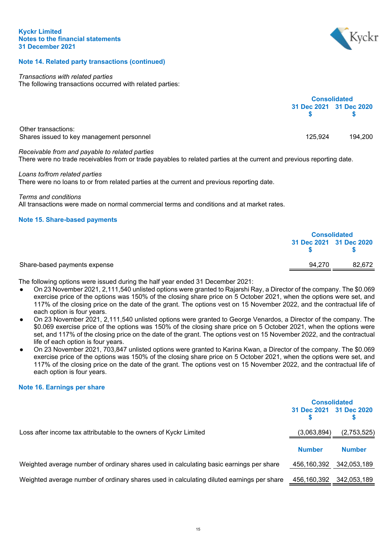

# **Note 14. Related party transactions (continued)**

#### *Transactions with related parties*

The following transactions occurred with related parties:

|                                                                                                                                                                         | <b>Consolidated</b> |                         |
|-------------------------------------------------------------------------------------------------------------------------------------------------------------------------|---------------------|-------------------------|
|                                                                                                                                                                         |                     | 31 Dec 2021 31 Dec 2020 |
| Other transactions:<br>Shares issued to key management personnel                                                                                                        | 125.924             | 194.200                 |
| Receivable from and payable to related parties<br>There were no trade receivables from or trade payables to related parties at the current and previous reporting date. |                     |                         |

## *Loans to/from related parties*

There were no loans to or from related parties at the current and previous reporting date.

# *Terms and conditions*

All transactions were made on normal commercial terms and conditions and at market rates.

## **Note 15. Share-based payments**

<span id="page-17-0"></span>

|                              | <b>Consolidated</b> |                         |
|------------------------------|---------------------|-------------------------|
|                              |                     | 31 Dec 2021 31 Dec 2020 |
| Share-based payments expense | 94.270              | 82.672                  |

The following options were issued during the half year ended 31 December 2021:

- On 23 November 2021, 2,111,540 unlisted options were granted to Rajarshi Ray, a Director of the company. The \$0.069 exercise price of the options was 150% of the closing share price on 5 October 2021, when the options were set, and 117% of the closing price on the date of the grant. The options vest on 15 November 2022, and the contractual life of each option is four years.
- On 23 November 2021, 2,111,540 unlisted options were granted to George Venardos, a Director of the company. The \$0.069 exercise price of the options was 150% of the closing share price on 5 October 2021, when the options were set, and 117% of the closing price on the date of the grant. The options vest on 15 November 2022, and the contractual life of each option is four years.
- On 23 November 2021, 703,847 unlisted options were granted to Karina Kwan, a Director of the company. The \$0.069 exercise price of the options was 150% of the closing share price on 5 October 2021, when the options were set, and 117% of the closing price on the date of the grant. The options vest on 15 November 2022, and the contractual life of each option is four years.

## **Note 16. Earnings per share**

<span id="page-17-1"></span>

|                                                                                           | <b>Consolidated</b>     |               |
|-------------------------------------------------------------------------------------------|-------------------------|---------------|
|                                                                                           | 31 Dec 2021 31 Dec 2020 |               |
| Loss after income tax attributable to the owners of Kyckr Limited                         | (3,063,894)             | (2,753,525)   |
|                                                                                           | <b>Number</b>           | <b>Number</b> |
| Weighted average number of ordinary shares used in calculating basic earnings per share   | 456,160,392             | 342,053,189   |
| Weighted average number of ordinary shares used in calculating diluted earnings per share | 456,160,392             | 342,053,189   |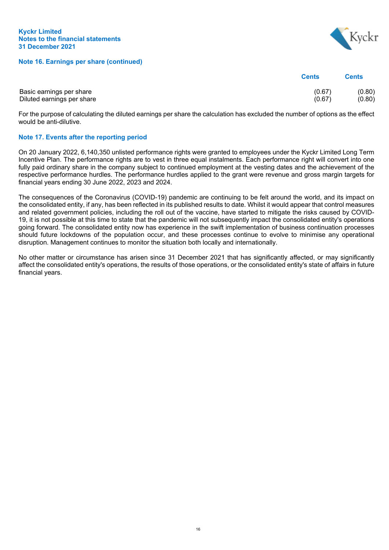**Note 16. Earnings per share (continued)**



|                            | <b>Cents</b> | <b>Cents</b> |
|----------------------------|--------------|--------------|
| Basic earnings per share   | (0.67)       | (0.80)       |
| Diluted earnings per share | (0.67)       | (0.80)       |

For the purpose of calculating the diluted earnings per share the calculation has excluded the number of options as the effect would be anti-dilutive.

## **Note 17. Events after the reporting period**

On 20 January 2022, 6,140,350 unlisted performance rights were granted to employees under the Kyckr Limited Long Term Incentive Plan. The performance rights are to vest in three equal instalments. Each performance right will convert into one fully paid ordinary share in the company subject to continued employment at the vesting dates and the achievement of the respective performance hurdles. The performance hurdles applied to the grant were revenue and gross margin targets for financial years ending 30 June 2022, 2023 and 2024.

The consequences of the Coronavirus (COVID-19) pandemic are continuing to be felt around the world, and its impact on the consolidated entity, if any, has been reflected in its published results to date. Whilst it would appear that control measures and related government policies, including the roll out of the vaccine, have started to mitigate the risks caused by COVID-19, it is not possible at this time to state that the pandemic will not subsequently impact the consolidated entity's operations going forward. The consolidated entity now has experience in the swift implementation of business continuation processes should future lockdowns of the population occur, and these processes continue to evolve to minimise any operational disruption. Management continues to monitor the situation both locally and internationally.

No other matter or circumstance has arisen since 31 December 2021 that has significantly affected, or may significantly affect the consolidated entity's operations, the results of those operations, or the consolidated entity's state of affairs in future financial years.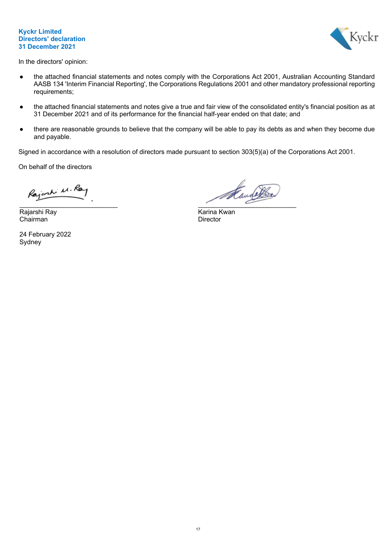## **Kyckr Limited Directors' declaration 31 December 2021**



In the directors' opinion:

- the attached financial statements and notes comply with the Corporations Act 2001, Australian Accounting Standard AASB 134 'Interim Financial Reporting', the Corporations Regulations 2001 and other mandatory professional reporting requirements;
- the attached financial statements and notes give a true and fair view of the consolidated entity's financial position as at 31 December 2021 and of its performance for the financial half-year ended on that date; and
- there are reasonable grounds to believe that the company will be able to pay its debts as and when they become due and payable.

Signed in accordance with a resolution of directors made pursuant to section 303(5)(a) of the Corporations Act 2001.

On behalf of the directors

Rajorki M. Ray

Rajarshi Ray **Karina Kwan**<br>Chairman Chairman Chairman Chairman

24 February 2022 Sydney

Kaunathre  $\overline{\phantom{a}}$  ,  $\overline{\phantom{a}}$  ,  $\overline{\phantom{a}}$  ,  $\overline{\phantom{a}}$  ,  $\overline{\phantom{a}}$  ,  $\overline{\phantom{a}}$  ,  $\overline{\phantom{a}}$  ,  $\overline{\phantom{a}}$  ,  $\overline{\phantom{a}}$  ,  $\overline{\phantom{a}}$  ,  $\overline{\phantom{a}}$  ,  $\overline{\phantom{a}}$  ,  $\overline{\phantom{a}}$  ,  $\overline{\phantom{a}}$  ,  $\overline{\phantom{a}}$  ,  $\overline{\phantom{a}}$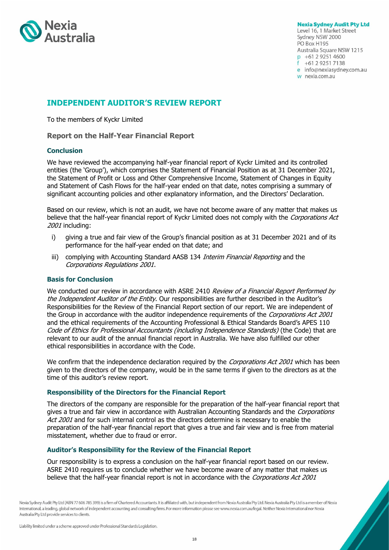

**Nexia Sydney Audit Pty Ltd** Level 16, 1 Market Street Sydney NSW 2000 PO Box H195 Australia Square NSW 1215 p +61 2 9251 4600  $f + 61292517138$ e info@nexiasydney.com.au w nexia.com.au

# **INDEPENDENT AUDITOR'S REVIEW REPORT**

To the members of Kyckr Limited

**Report on the Half-Year Financial Report**

## **Conclusion**

We have reviewed the accompanying half-year financial report of Kyckr Limited and its controlled entities (the 'Group'), which comprises the Statement of Financial Position as at 31 December 2021, the Statement of Profit or Loss and Other Comprehensive Income, Statement of Changes in Equity and Statement of Cash Flows for the half-year ended on that date, notes comprising a summary of significant accounting policies and other explanatory information, and the Directors' Declaration.

Based on our review, which is not an audit, we have not become aware of any matter that makes us believe that the half-year financial report of Kyckr Limited does not comply with the Corporations Act 2001 including:

- i) giving a true and fair view of the Group's financial position as at 31 December 2021 and of its performance for the half-year ended on that date; and
- iii) complying with Accounting Standard AASB 134 Interim Financial Reporting and the Corporations Regulations 2001.

## **Basis for Conclusion**

We conducted our review in accordance with ASRE 2410 Review of a Financial Report Performed by the Independent Auditor of the Entity. Our responsibilities are further described in the Auditor's Responsibilities for the Review of the Financial Report section of our report. We are independent of the Group in accordance with the auditor independence requirements of the Corporations Act 2001 and the ethical requirements of the Accounting Professional & Ethical Standards Board's APES 110 Code of Ethics for Professional Accountants (including Independence Standards) (the Code) that are relevant to our audit of the annual financial report in Australia. We have also fulfilled our other ethical responsibilities in accordance with the Code.

We confirm that the independence declaration required by the *Corporations Act 2001* which has been given to the directors of the company, would be in the same terms if given to the directors as at the time of this auditor's review report.

## **Responsibility of the Directors for the Financial Report**

The directors of the company are responsible for the preparation of the half-year financial report that gives a true and fair view in accordance with Australian Accounting Standards and the Corporations Act 2001 and for such internal control as the directors determine is necessary to enable the preparation of the half-year financial report that gives a true and fair view and is free from material misstatement, whether due to fraud or error.

## **Auditor's Responsibility for the Review of the Financial Report**

Our responsibility is to express a conclusion on the half-year financial report based on our review. ASRE 2410 requires us to conclude whether we have become aware of any matter that makes us believe that the half-year financial report is not in accordance with the Corporations Act 2001

Nexia Sydney Audit Pty Ltd (ABN 77 606 785 399) is a firm of Chartered Accountants. It is affiliated with, but independent from Nexia Australia Pty Ltd. Nexia Australia Pty Ltd is a member of Nexia International, a leading, global network of independent accounting and consulting firms. For more information please see www.nexia.com.au/legal. Neither Nexia International nor Nexia Australia Pty Ltd provide services to clients.

Liability limited under a scheme approved under Professional Standards Legislation.